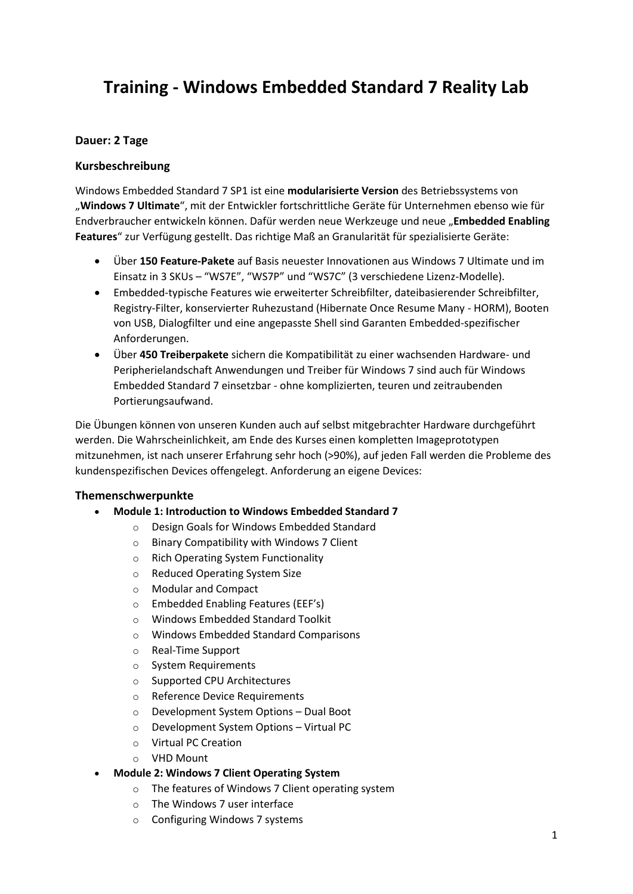# **Training - Windows Embedded Standard 7 Reality Lab**

# **Dauer: 2 Tage**

## **Kursbeschreibung**

Windows Embedded Standard 7 SP1 ist eine **modularisierte Version** des Betriebssystems von "**Windows 7 Ultimate**", mit der Entwickler fortschrittliche Geräte für Unternehmen ebenso wie für Endverbraucher entwickeln können. Dafür werden neue Werkzeuge und neue "**Embedded Enabling Features**" zur Verfügung gestellt. Das richtige Maß an Granularität für spezialisierte Geräte:

- Über **150 Feature-Pakete** auf Basis neuester Innovationen aus Windows 7 Ultimate und im Einsatz in 3 SKUs – "WS7E", "WS7P" und "WS7C" (3 verschiedene Lizenz-Modelle).
- Embedded-typische Features wie erweiterter Schreibfilter, dateibasierender Schreibfilter, Registry-Filter, konservierter Ruhezustand (Hibernate Once Resume Many - HORM), Booten von USB, Dialogfilter und eine angepasste Shell sind Garanten Embedded-spezifischer Anforderungen.
- Über **450 Treiberpakete** sichern die Kompatibilität zu einer wachsenden Hardware- und Peripherielandschaft Anwendungen und Treiber für Windows 7 sind auch für Windows Embedded Standard 7 einsetzbar - ohne komplizierten, teuren und zeitraubenden Portierungsaufwand.

Die Übungen können von unseren Kunden auch auf selbst mitgebrachter Hardware durchgeführt werden. Die Wahrscheinlichkeit, am Ende des Kurses einen kompletten Imageprototypen mitzunehmen, ist nach unserer Erfahrung sehr hoch (>90%), auf jeden Fall werden die Probleme des kundenspezifischen Devices offengelegt. Anforderung an eigene Devices:

## **Themenschwerpunkte**

- **Module 1: Introduction to Windows Embedded Standard 7**
	- o Design Goals for Windows Embedded Standard
	- o Binary Compatibility with Windows 7 Client
	- o Rich Operating System Functionality
	- o Reduced Operating System Size
	- o Modular and Compact
	- o Embedded Enabling Features (EEF's)
	- o Windows Embedded Standard Toolkit
	- o Windows Embedded Standard Comparisons
	- o Real-Time Support
	- o System Requirements
	- o Supported CPU Architectures
	- o Reference Device Requirements
	- o Development System Options Dual Boot
	- o Development System Options Virtual PC
	- o Virtual PC Creation
	- o VHD Mount
- **Module 2: Windows 7 Client Operating System**
	- o The features of Windows 7 Client operating system
	- o The Windows 7 user interface
	- o Configuring Windows 7 systems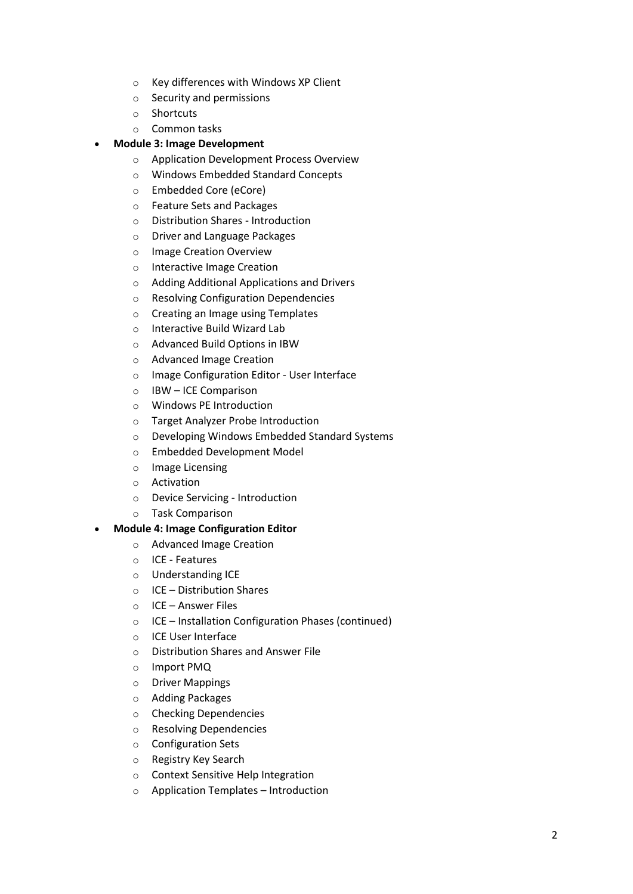- o Key differences with Windows XP Client
- o Security and permissions
- o Shortcuts
- o Common tasks

#### **Module 3: Image Development**

- o Application Development Process Overview
- o Windows Embedded Standard Concepts
- o Embedded Core (eCore)
- o Feature Sets and Packages
- o Distribution Shares Introduction
- o Driver and Language Packages
- o Image Creation Overview
- o Interactive Image Creation
- o Adding Additional Applications and Drivers
- o Resolving Configuration Dependencies
- o Creating an Image using Templates
- o Interactive Build Wizard Lab
- o Advanced Build Options in IBW
- o Advanced Image Creation
- o Image Configuration Editor User Interface
- o IBW ICE Comparison
- o Windows PE Introduction
- o Target Analyzer Probe Introduction
- o Developing Windows Embedded Standard Systems
- o Embedded Development Model
- o Image Licensing
- o Activation
- o Device Servicing Introduction
- o Task Comparison

#### **Module 4: Image Configuration Editor**

- o Advanced Image Creation
- o ICE Features
- o Understanding ICE
- o ICE Distribution Shares
- o ICE Answer Files
- o ICE Installation Configuration Phases (continued)
- o ICE User Interface
- o Distribution Shares and Answer File
- o Import PMQ
- o Driver Mappings
- o Adding Packages
- o Checking Dependencies
- o Resolving Dependencies
- o Configuration Sets
- o Registry Key Search
- o Context Sensitive Help Integration
- o Application Templates Introduction